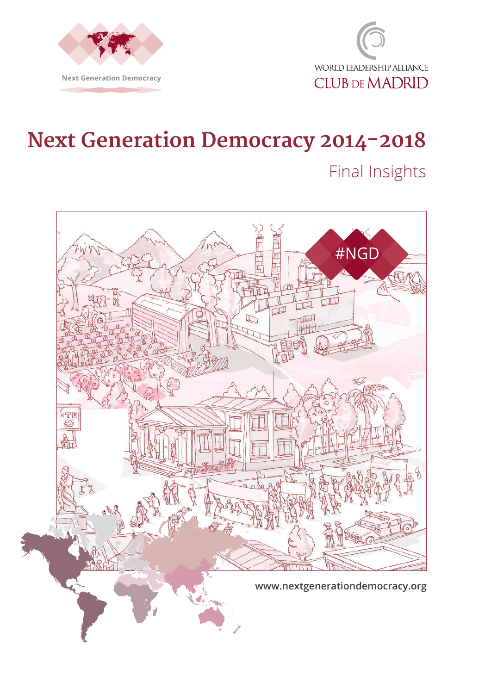



# **Next Generation Democracy 2014-2018**

# Final Insights

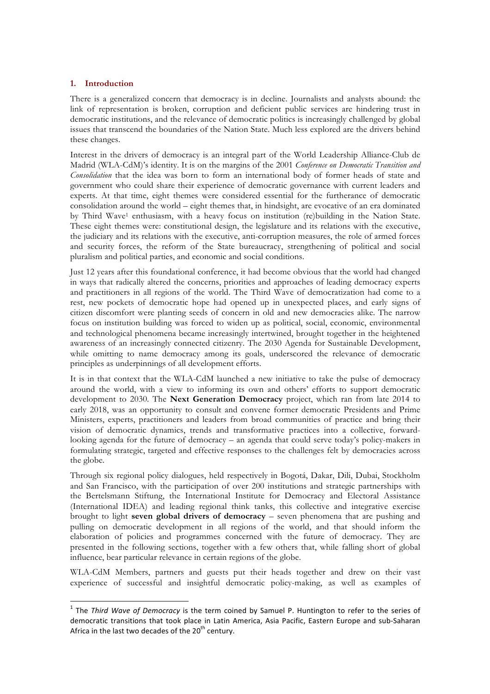# **1. Introduction**

There is a generalized concern that democracy is in decline. Journalists and analysts abound: the link of representation is broken, corruption and deficient public services are hindering trust in democratic institutions, and the relevance of democratic politics is increasingly challenged by global issues that transcend the boundaries of the Nation State. Much less explored are the drivers behind these changes.

Interest in the drivers of democracy is an integral part of the World Leadership Alliance-Club de Madrid (WLA-CdM)'s identity. It is on the margins of the 2001 *Conference on Democratic Transition and Consolidation* that the idea was born to form an international body of former heads of state and government who could share their experience of democratic governance with current leaders and experts. At that time, eight themes were considered essential for the furtherance of democratic consolidation around the world – eight themes that, in hindsight, are evocative of an era dominated by Third Wave<sup>1</sup> enthusiasm, with a heavy focus on institution (re)building in the Nation State. These eight themes were: constitutional design, the legislature and its relations with the executive, the judiciary and its relations with the executive, anti-corruption measures, the role of armed forces and security forces, the reform of the State bureaucracy, strengthening of political and social pluralism and political parties, and economic and social conditions.

Just 12 years after this foundational conference, it had become obvious that the world had changed in ways that radically altered the concerns, priorities and approaches of leading democracy experts and practitioners in all regions of the world. The Third Wave of democratization had come to a rest, new pockets of democratic hope had opened up in unexpected places, and early signs of citizen discomfort were planting seeds of concern in old and new democracies alike. The narrow focus on institution building was forced to widen up as political, social, economic, environmental and technological phenomena became increasingly intertwined, brought together in the heightened awareness of an increasingly connected citizenry. The 2030 Agenda for Sustainable Development, while omitting to name democracy among its goals, underscored the relevance of democratic principles as underpinnings of all development efforts.

It is in that context that the WLA-CdM launched a new initiative to take the pulse of democracy around the world, with a view to informing its own and others' efforts to support democratic development to 2030. The **Next Generation Democracy** project, which ran from late 2014 to early 2018, was an opportunity to consult and convene former democratic Presidents and Prime Ministers, experts, practitioners and leaders from broad communities of practice and bring their vision of democratic dynamics, trends and transformative practices into a collective, forwardlooking agenda for the future of democracy – an agenda that could serve today's policy-makers in formulating strategic, targeted and effective responses to the challenges felt by democracies across the globe.

Through six regional policy dialogues, held respectively in Bogotá, Dakar, Dili, Dubai, Stockholm and San Francisco, with the participation of over 200 institutions and strategic partnerships with the Bertelsmann Stiftung, the International Institute for Democracy and Electoral Assistance (International IDEA) and leading regional think tanks, this collective and integrative exercise brought to light **seven global drivers of democracy** – seven phenomena that are pushing and pulling on democratic development in all regions of the world, and that should inform the elaboration of policies and programmes concerned with the future of democracy. They are presented in the following sections, together with a few others that, while falling short of global influence, bear particular relevance in certain regions of the globe.

WLA-CdM Members, partners and guests put their heads together and drew on their vast experience of successful and insightful democratic policy-making, as well as examples of

<u> 1989 - Jan Samuel Barbara, margaret e</u>

<sup>&</sup>lt;sup>1</sup> The *Third Wave of Democracy* is the term coined by Samuel P. Huntington to refer to the series of democratic transitions that took place in Latin America, Asia Pacific, Eastern Europe and sub-Saharan Africa in the last two decades of the  $20<sup>th</sup>$  century.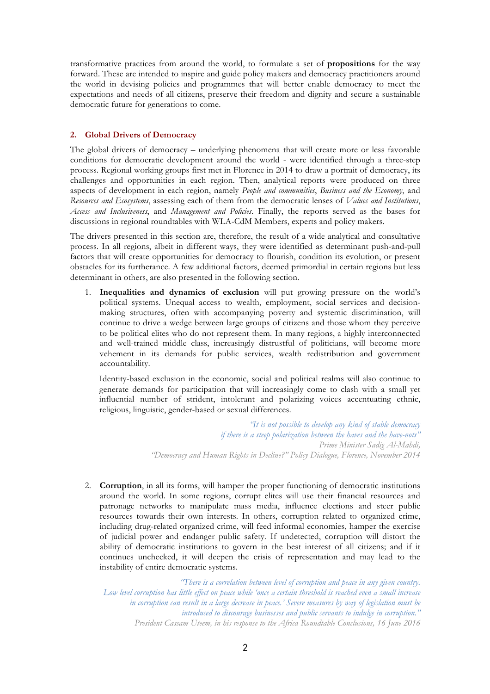transformative practices from around the world, to formulate a set of **propositions** for the way forward. These are intended to inspire and guide policy makers and democracy practitioners around the world in devising policies and programmes that will better enable democracy to meet the expectations and needs of all citizens, preserve their freedom and dignity and secure a sustainable democratic future for generations to come.

# **2. Global Drivers of Democracy**

The global drivers of democracy – underlying phenomena that will create more or less favorable conditions for democratic development around the world - were identified through a three-step process. Regional working groups first met in Florence in 2014 to draw a portrait of democracy, its challenges and opportunities in each region. Then, analytical reports were produced on three aspects of development in each region, namely *People and communities*, *Business and the Economy*, and *Resources and Ecosystems*, assessing each of them from the democratic lenses of *Values and Institutions*, *Access and Inclusiveness*, and *Management and Policies*. Finally, the reports served as the bases for discussions in regional roundtables with WLA-CdM Members, experts and policy makers.

The drivers presented in this section are, therefore, the result of a wide analytical and consultative process. In all regions, albeit in different ways, they were identified as determinant push-and-pull factors that will create opportunities for democracy to flourish, condition its evolution, or present obstacles for its furtherance. A few additional factors, deemed primordial in certain regions but less determinant in others, are also presented in the following section.

1. **Inequalities and dynamics of exclusion** will put growing pressure on the world's political systems. Unequal access to wealth, employment, social services and decisionmaking structures, often with accompanying poverty and systemic discrimination, will continue to drive a wedge between large groups of citizens and those whom they perceive to be political elites who do not represent them. In many regions, a highly interconnected and well-trained middle class, increasingly distrustful of politicians, will become more vehement in its demands for public services, wealth redistribution and government accountability.

Identity-based exclusion in the economic, social and political realms will also continue to generate demands for participation that will increasingly come to clash with a small yet influential number of strident, intolerant and polarizing voices accentuating ethnic, religious, linguistic, gender-based or sexual differences.

> *"It is not possible to develop any kind of stable democracy if there is a steep polarization between the haves and the have-nots" Prime Minister Sadig Al-Mahdi, "Democracy and Human Rights in Decline?" Policy Dialogue, Florence, November 2014*

2. **Corruption**, in all its forms, will hamper the proper functioning of democratic institutions around the world. In some regions, corrupt elites will use their financial resources and patronage networks to manipulate mass media, influence elections and steer public resources towards their own interests. In others, corruption related to organized crime, including drug-related organized crime, will feed informal economies, hamper the exercise of judicial power and endanger public safety. If undetected, corruption will distort the ability of democratic institutions to govern in the best interest of all citizens; and if it continues unchecked, it will deepen the crisis of representation and may lead to the instability of entire democratic systems.

*"There is a correlation between level of corruption and peace in any given country. Low level corruption has little effect on peace while 'once a certain threshold is reached even a small increase in corruption can result in a large decrease in peace.' Severe measures by way of legislation must be introduced to discourage businesses and public servants to indulge in corruption." President Cassam Uteem, in his response to the Africa Roundtable Conclusions, 16 June 2016*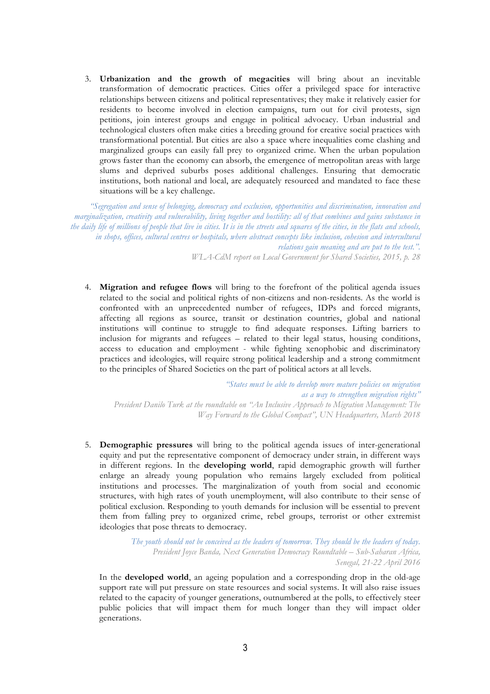3. **Urbanization and the growth of megacities** will bring about an inevitable transformation of democratic practices. Cities offer a privileged space for interactive relationships between citizens and political representatives; they make it relatively easier for residents to become involved in election campaigns, turn out for civil protests, sign petitions, join interest groups and engage in political advocacy. Urban industrial and technological clusters often make cities a breeding ground for creative social practices with transformational potential. But cities are also a space where inequalities come clashing and marginalized groups can easily fall prey to organized crime. When the urban population grows faster than the economy can absorb, the emergence of metropolitan areas with large slums and deprived suburbs poses additional challenges. Ensuring that democratic institutions, both national and local, are adequately resourced and mandated to face these situations will be a key challenge.

*"Segregation and sense of belonging, democracy and exclusion, opportunities and discrimination, innovation and marginalization, creativity and vulnerability, living together and hostility: all of that combines and gains substance in the daily life of millions of people that live in cities. It is in the streets and squares of the cities, in the flats and schools, in shops, offices, cultural centres or hospitals, where abstract concepts like inclusion, cohesion and intercultural relations gain meaning and are put to the test.". WLA-CdM report on Local Government for Shared Societies, 2015, p. 28*

4. **Migration and refugee flows** will bring to the forefront of the political agenda issues related to the social and political rights of non-citizens and non-residents. As the world is confronted with an unprecedented number of refugees, IDPs and forced migrants, affecting all regions as source, transit or destination countries, global and national institutions will continue to struggle to find adequate responses. Lifting barriers to inclusion for migrants and refugees – related to their legal status, housing conditions, access to education and employment - while fighting xenophobic and discriminatory practices and ideologies, will require strong political leadership and a strong commitment to the principles of Shared Societies on the part of political actors at all levels.

*"States must be able to develop more mature policies on migration as a way to strengthen migration rights" President Danilo Turk at the roundtable on "An Inclusive Approach to Migration Management: The Way Forward to the Global Compact", UN Headquarters, March 2018*

5. **Demographic pressures** will bring to the political agenda issues of inter-generational equity and put the representative component of democracy under strain, in different ways in different regions. In the **developing world**, rapid demographic growth will further enlarge an already young population who remains largely excluded from political institutions and processes. The marginalization of youth from social and economic structures, with high rates of youth unemployment, will also contribute to their sense of political exclusion. Responding to youth demands for inclusion will be essential to prevent them from falling prey to organized crime, rebel groups, terrorist or other extremist ideologies that pose threats to democracy.

> *The youth should not be conceived as the leaders of tomorrow. They should be the leaders of today. President Joyce Banda, Next Generation Democracy Roundtable – Sub-Saharan Africa, Senegal, 21-22 April 2016*

In the **developed world**, an ageing population and a corresponding drop in the old-age support rate will put pressure on state resources and social systems. It will also raise issues related to the capacity of younger generations, outnumbered at the polls, to effectively steer public policies that will impact them for much longer than they will impact older generations.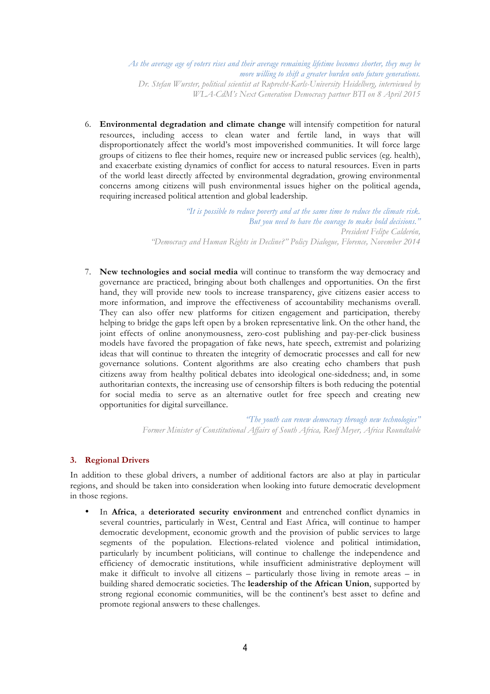*As the average age of voters rises and their average remaining lifetime becomes shorter, they may be more willing to shift a greater burden onto future generations. Dr. Stefan Wurster, political scientist at Ruprecht-Karls-University Heidelberg, interviewed by WLA-CdM's Next Generation Democracy partner BTI on 8 April 2015*

6. **Environmental degradation and climate change** will intensify competition for natural resources, including access to clean water and fertile land, in ways that will disproportionately affect the world's most impoverished communities. It will force large groups of citizens to flee their homes, require new or increased public services (eg. health), and exacerbate existing dynamics of conflict for access to natural resources. Even in parts of the world least directly affected by environmental degradation, growing environmental concerns among citizens will push environmental issues higher on the political agenda, requiring increased political attention and global leadership.

> *"It is possible to reduce poverty and at the same time to reduce the climate risk. But you need to have the courage to make bold decisions." President Felipe Calderón, "Democracy and Human Rights in Decline?" Policy Dialogue, Florence, November 2014*

7. **New technologies and social media** will continue to transform the way democracy and governance are practiced, bringing about both challenges and opportunities. On the first hand, they will provide new tools to increase transparency, give citizens easier access to more information, and improve the effectiveness of accountability mechanisms overall. They can also offer new platforms for citizen engagement and participation, thereby helping to bridge the gaps left open by a broken representative link. On the other hand, the joint effects of online anonymousness, zero-cost publishing and pay-per-click business models have favored the propagation of fake news, hate speech, extremist and polarizing ideas that will continue to threaten the integrity of democratic processes and call for new governance solutions. Content algorithms are also creating echo chambers that push citizens away from healthy political debates into ideological one-sidedness; and, in some authoritarian contexts, the increasing use of censorship filters is both reducing the potential for social media to serve as an alternative outlet for free speech and creating new opportunities for digital surveillance.

> *"The youth can renew democracy through new technologies" Former Minister of Constitutional Affairs of South Africa, Roelf Meyer, Africa Roundtable*

# **3. Regional Drivers**

In addition to these global drivers, a number of additional factors are also at play in particular regions, and should be taken into consideration when looking into future democratic development in those regions.

• In **Africa**, a **deteriorated security environment** and entrenched conflict dynamics in several countries, particularly in West, Central and East Africa, will continue to hamper democratic development, economic growth and the provision of public services to large segments of the population. Elections-related violence and political intimidation, particularly by incumbent politicians, will continue to challenge the independence and efficiency of democratic institutions, while insufficient administrative deployment will make it difficult to involve all citizens – particularly those living in remote areas – in building shared democratic societies. The **leadership of the African Union**, supported by strong regional economic communities, will be the continent's best asset to define and promote regional answers to these challenges.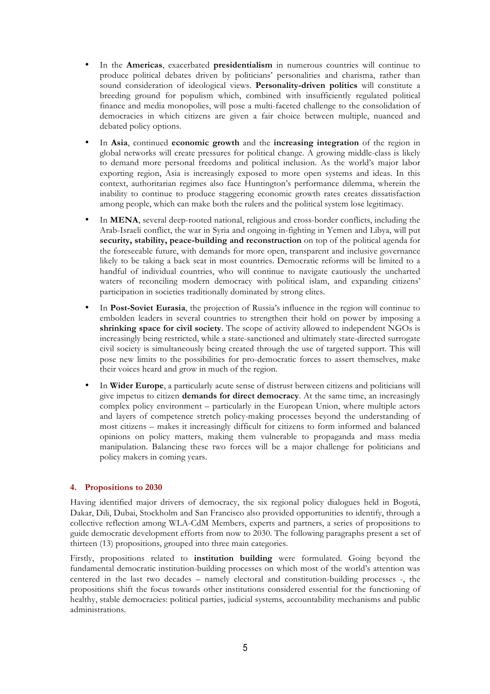- In the **Americas**, exacerbated **presidentialism** in numerous countries will continue to produce political debates driven by politicians' personalities and charisma, rather than sound consideration of ideological views. **Personality-driven politics** will constitute a breeding ground for populism which, combined with insufficiently regulated political finance and media monopolies, will pose a multi-faceted challenge to the consolidation of democracies in which citizens are given a fair choice between multiple, nuanced and debated policy options.
- In **Asia**, continued **economic growth** and the **increasing integration** of the region in global networks will create pressures for political change. A growing middle-class is likely to demand more personal freedoms and political inclusion. As the world's major labor exporting region, Asia is increasingly exposed to more open systems and ideas. In this context, authoritarian regimes also face Huntington's performance dilemma, wherein the inability to continue to produce staggering economic growth rates creates dissatisfaction among people, which can make both the rulers and the political system lose legitimacy.
- In **MENA**, several deep-rooted national, religious and cross-border conflicts, including the Arab-Israeli conflict, the war in Syria and ongoing in-fighting in Yemen and Libya, will put **security, stability, peace-building and reconstruction** on top of the political agenda for the foreseeable future, with demands for more open, transparent and inclusive governance likely to be taking a back seat in most countries. Democratic reforms will be limited to a handful of individual countries, who will continue to navigate cautiously the uncharted waters of reconciling modern democracy with political islam, and expanding citizens' participation in societies traditionally dominated by strong elites.
- In **Post-Soviet Eurasia**, the projection of Russia's influence in the region will continue to embolden leaders in several countries to strengthen their hold on power by imposing a **shrinking space for civil society**. The scope of activity allowed to independent NGOs is increasingly being restricted, while a state-sanctioned and ultimately state-directed surrogate civil society is simultaneously being created through the use of targeted support. This will pose new limits to the possibilities for pro-democratic forces to assert themselves, make their voices heard and grow in much of the region.
- In **Wider Europe**, a particularly acute sense of distrust between citizens and politicians will give impetus to citizen **demands for direct democracy**. At the same time, an increasingly complex policy environment – particularly in the European Union, where multiple actors and layers of competence stretch policy-making processes beyond the understanding of most citizens – makes it increasingly difficult for citizens to form informed and balanced opinions on policy matters, making them vulnerable to propaganda and mass media manipulation. Balancing these two forces will be a major challenge for politicians and policy makers in coming years.

# **4. Propositions to 2030**

Having identified major drivers of democracy, the six regional policy dialogues held in Bogotá, Dakar, Dili, Dubai, Stockholm and San Francisco also provided opportunities to identify, through a collective reflection among WLA-CdM Members, experts and partners, a series of propositions to guide democratic development efforts from now to 2030. The following paragraphs present a set of thirteen (13) propositions, grouped into three main categories.

Firstly, propositions related to **institution building** were formulated. Going beyond the fundamental democratic institution-building processes on which most of the world's attention was centered in the last two decades – namely electoral and constitution-building processes -, the propositions shift the focus towards other institutions considered essential for the functioning of healthy, stable democracies: political parties, judicial systems, accountability mechanisms and public administrations.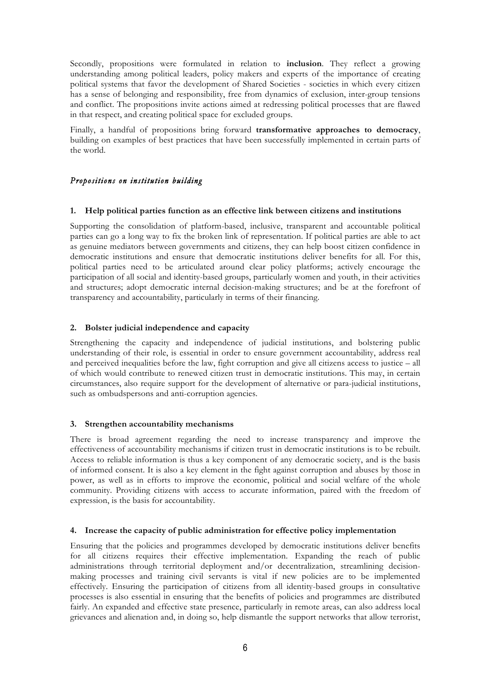Secondly, propositions were formulated in relation to **inclusion**. They reflect a growing understanding among political leaders, policy makers and experts of the importance of creating political systems that favor the development of Shared Societies - societies in which every citizen has a sense of belonging and responsibility, free from dynamics of exclusion, inter-group tensions and conflict. The propositions invite actions aimed at redressing political processes that are flawed in that respect, and creating political space for excluded groups.

Finally, a handful of propositions bring forward **transformative approaches to democracy**, building on examples of best practices that have been successfully implemented in certain parts of the world.

# *Propositions on institution building*

# **1. Help political parties function as an effective link between citizens and institutions**

Supporting the consolidation of platform-based, inclusive, transparent and accountable political parties can go a long way to fix the broken link of representation. If political parties are able to act as genuine mediators between governments and citizens, they can help boost citizen confidence in democratic institutions and ensure that democratic institutions deliver benefits for all. For this, political parties need to be articulated around clear policy platforms; actively encourage the participation of all social and identity-based groups, particularly women and youth, in their activities and structures; adopt democratic internal decision-making structures; and be at the forefront of transparency and accountability, particularly in terms of their financing.

# **2. Bolster judicial independence and capacity**

Strengthening the capacity and independence of judicial institutions, and bolstering public understanding of their role, is essential in order to ensure government accountability, address real and perceived inequalities before the law, fight corruption and give all citizens access to justice – all of which would contribute to renewed citizen trust in democratic institutions. This may, in certain circumstances, also require support for the development of alternative or para-judicial institutions, such as ombudspersons and anti-corruption agencies.

# **3. Strengthen accountability mechanisms**

There is broad agreement regarding the need to increase transparency and improve the effectiveness of accountability mechanisms if citizen trust in democratic institutions is to be rebuilt. Access to reliable information is thus a key component of any democratic society, and is the basis of informed consent. It is also a key element in the fight against corruption and abuses by those in power, as well as in efforts to improve the economic, political and social welfare of the whole community. Providing citizens with access to accurate information, paired with the freedom of expression, is the basis for accountability.

# **4. Increase the capacity of public administration for effective policy implementation**

Ensuring that the policies and programmes developed by democratic institutions deliver benefits for all citizens requires their effective implementation. Expanding the reach of public administrations through territorial deployment and/or decentralization, streamlining decisionmaking processes and training civil servants is vital if new policies are to be implemented effectively. Ensuring the participation of citizens from all identity-based groups in consultative processes is also essential in ensuring that the benefits of policies and programmes are distributed fairly. An expanded and effective state presence, particularly in remote areas, can also address local grievances and alienation and, in doing so, help dismantle the support networks that allow terrorist,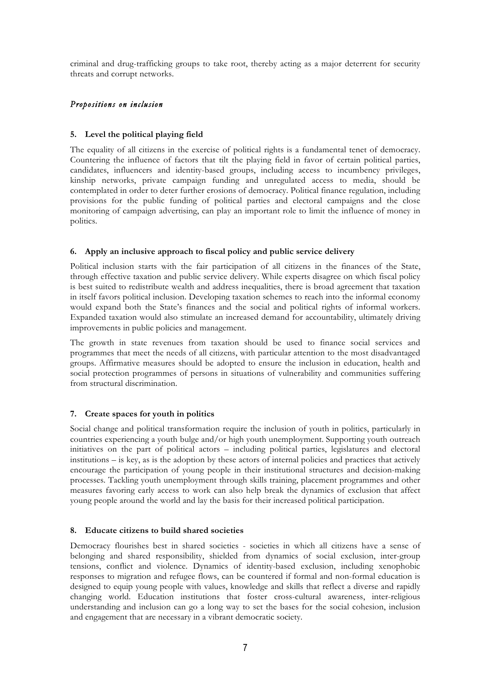criminal and drug-trafficking groups to take root, thereby acting as a major deterrent for security threats and corrupt networks.

# *Propositions on inclusion*

# **5. Level the political playing field**

The equality of all citizens in the exercise of political rights is a fundamental tenet of democracy. Countering the influence of factors that tilt the playing field in favor of certain political parties, candidates, influencers and identity-based groups, including access to incumbency privileges, kinship networks, private campaign funding and unregulated access to media, should be contemplated in order to deter further erosions of democracy. Political finance regulation, including provisions for the public funding of political parties and electoral campaigns and the close monitoring of campaign advertising, can play an important role to limit the influence of money in politics.

# **6. Apply an inclusive approach to fiscal policy and public service delivery**

Political inclusion starts with the fair participation of all citizens in the finances of the State, through effective taxation and public service delivery. While experts disagree on which fiscal policy is best suited to redistribute wealth and address inequalities, there is broad agreement that taxation in itself favors political inclusion. Developing taxation schemes to reach into the informal economy would expand both the State's finances and the social and political rights of informal workers. Expanded taxation would also stimulate an increased demand for accountability, ultimately driving improvements in public policies and management.

The growth in state revenues from taxation should be used to finance social services and programmes that meet the needs of all citizens, with particular attention to the most disadvantaged groups. Affirmative measures should be adopted to ensure the inclusion in education, health and social protection programmes of persons in situations of vulnerability and communities suffering from structural discrimination.

# **7. Create spaces for youth in politics**

Social change and political transformation require the inclusion of youth in politics, particularly in countries experiencing a youth bulge and/or high youth unemployment. Supporting youth outreach initiatives on the part of political actors – including political parties, legislatures and electoral institutions – is key, as is the adoption by these actors of internal policies and practices that actively encourage the participation of young people in their institutional structures and decision-making processes. Tackling youth unemployment through skills training, placement programmes and other measures favoring early access to work can also help break the dynamics of exclusion that affect young people around the world and lay the basis for their increased political participation.

# **8. Educate citizens to build shared societies**

Democracy flourishes best in shared societies - societies in which all citizens have a sense of belonging and shared responsibility, shielded from dynamics of social exclusion, inter-group tensions, conflict and violence. Dynamics of identity-based exclusion, including xenophobic responses to migration and refugee flows, can be countered if formal and non-formal education is designed to equip young people with values, knowledge and skills that reflect a diverse and rapidly changing world. Education institutions that foster cross-cultural awareness, inter-religious understanding and inclusion can go a long way to set the bases for the social cohesion, inclusion and engagement that are necessary in a vibrant democratic society.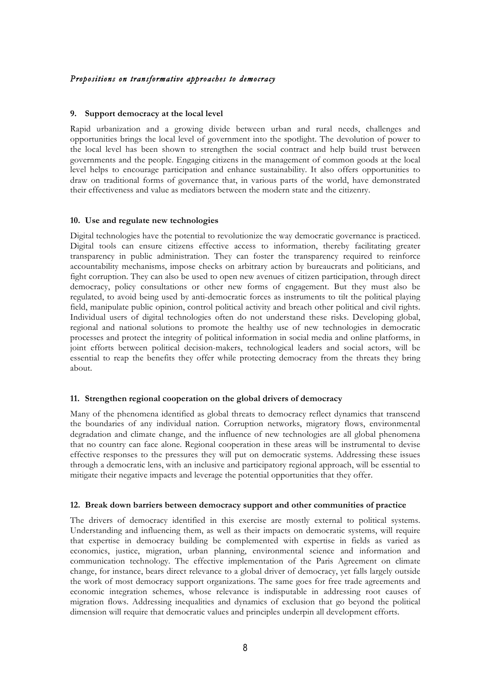# *Propositions on transformative approaches to democracy*

#### **9. Support democracy at the local level**

Rapid urbanization and a growing divide between urban and rural needs, challenges and opportunities brings the local level of government into the spotlight. The devolution of power to the local level has been shown to strengthen the social contract and help build trust between governments and the people. Engaging citizens in the management of common goods at the local level helps to encourage participation and enhance sustainability. It also offers opportunities to draw on traditional forms of governance that, in various parts of the world, have demonstrated their effectiveness and value as mediators between the modern state and the citizenry.

#### **10. Use and regulate new technologies**

Digital technologies have the potential to revolutionize the way democratic governance is practiced. Digital tools can ensure citizens effective access to information, thereby facilitating greater transparency in public administration. They can foster the transparency required to reinforce accountability mechanisms, impose checks on arbitrary action by bureaucrats and politicians, and fight corruption. They can also be used to open new avenues of citizen participation, through direct democracy, policy consultations or other new forms of engagement. But they must also be regulated, to avoid being used by anti-democratic forces as instruments to tilt the political playing field, manipulate public opinion, control political activity and breach other political and civil rights. Individual users of digital technologies often do not understand these risks. Developing global, regional and national solutions to promote the healthy use of new technologies in democratic processes and protect the integrity of political information in social media and online platforms, in joint efforts between political decision-makers, technological leaders and social actors, will be essential to reap the benefits they offer while protecting democracy from the threats they bring about.

#### **11. Strengthen regional cooperation on the global drivers of democracy**

Many of the phenomena identified as global threats to democracy reflect dynamics that transcend the boundaries of any individual nation. Corruption networks, migratory flows, environmental degradation and climate change, and the influence of new technologies are all global phenomena that no country can face alone. Regional cooperation in these areas will be instrumental to devise effective responses to the pressures they will put on democratic systems. Addressing these issues through a democratic lens, with an inclusive and participatory regional approach, will be essential to mitigate their negative impacts and leverage the potential opportunities that they offer.

#### **12. Break down barriers between democracy support and other communities of practice**

The drivers of democracy identified in this exercise are mostly external to political systems. Understanding and influencing them, as well as their impacts on democratic systems, will require that expertise in democracy building be complemented with expertise in fields as varied as economics, justice, migration, urban planning, environmental science and information and communication technology. The effective implementation of the Paris Agreement on climate change, for instance, bears direct relevance to a global driver of democracy, yet falls largely outside the work of most democracy support organizations. The same goes for free trade agreements and economic integration schemes, whose relevance is indisputable in addressing root causes of migration flows. Addressing inequalities and dynamics of exclusion that go beyond the political dimension will require that democratic values and principles underpin all development efforts.